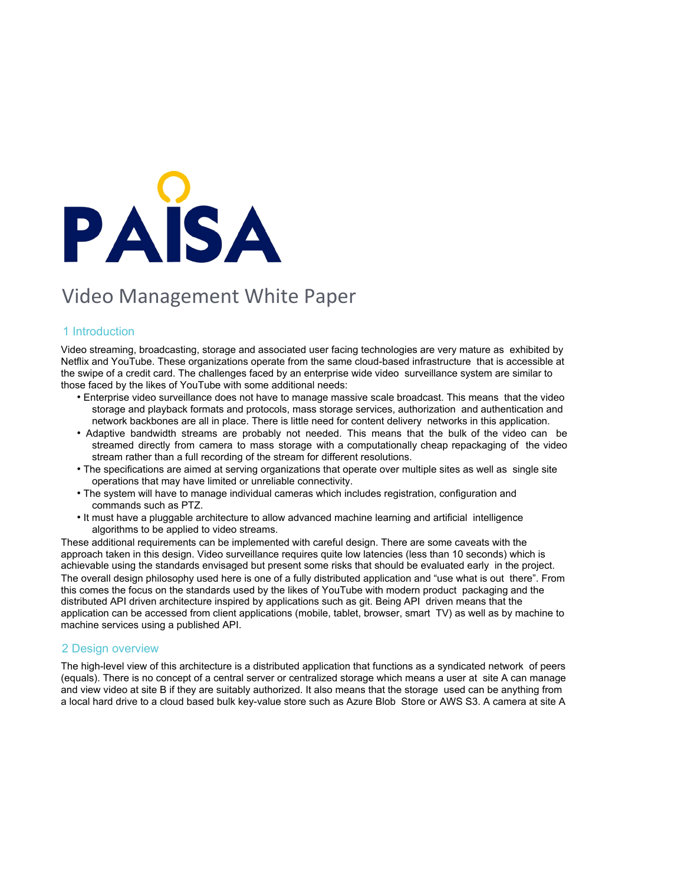

# Video Management White Paper

## 1 Introduction

Video streaming, broadcasting, storage and associated user facing technologies are very mature as exhibited by Netflix and YouTube. These organizations operate from the same cloud-based infrastructure that is accessible at the swipe of a credit card. The challenges faced by an enterprise wide video surveillance system are similar to those faced by the likes of YouTube with some additional needs:

- Enterprise video surveillance does not have to manage massive scale broadcast. This means that the video storage and playback formats and protocols, mass storage services, authorization and authentication and network backbones are all in place. There is little need for content delivery networks in this application.
- Adaptive bandwidth streams are probably not needed. This means that the bulk of the video can be streamed directly from camera to mass storage with a computationally cheap repackaging of the video stream rather than a full recording of the stream for different resolutions.
- The specifications are aimed at serving organizations that operate over multiple sites as well as single site operations that may have limited or unreliable connectivity.
- The system will have to manage individual cameras which includes registration, configuration and commands such as PTZ.
- It must have a pluggable architecture to allow advanced machine learning and artificial intelligence algorithms to be applied to video streams.

These additional requirements can be implemented with careful design. There are some caveats with the approach taken in this design. Video surveillance requires quite low latencies (less than 10 seconds) which is achievable using the standards envisaged but present some risks that should be evaluated early in the project. The overall design philosophy used here is one of a fully distributed application and "use what is out there". From this comes the focus on the standards used by the likes of YouTube with modern product packaging and the distributed API driven architecture inspired by applications such as git. Being API driven means that the application can be accessed from client applications (mobile, tablet, browser, smart TV) as well as by machine to machine services using a published API.

### 2 Design overview

The high-level view of this architecture is a distributed application that functions as a syndicated network of peers (equals). There is no concept of a central server or centralized storage which means a user at site A can manage and view video at site B if they are suitably authorized. It also means that the storage used can be anything from a local hard drive to a cloud based bulk key-value store such as Azure Blob Store or AWS S3. A camera at site A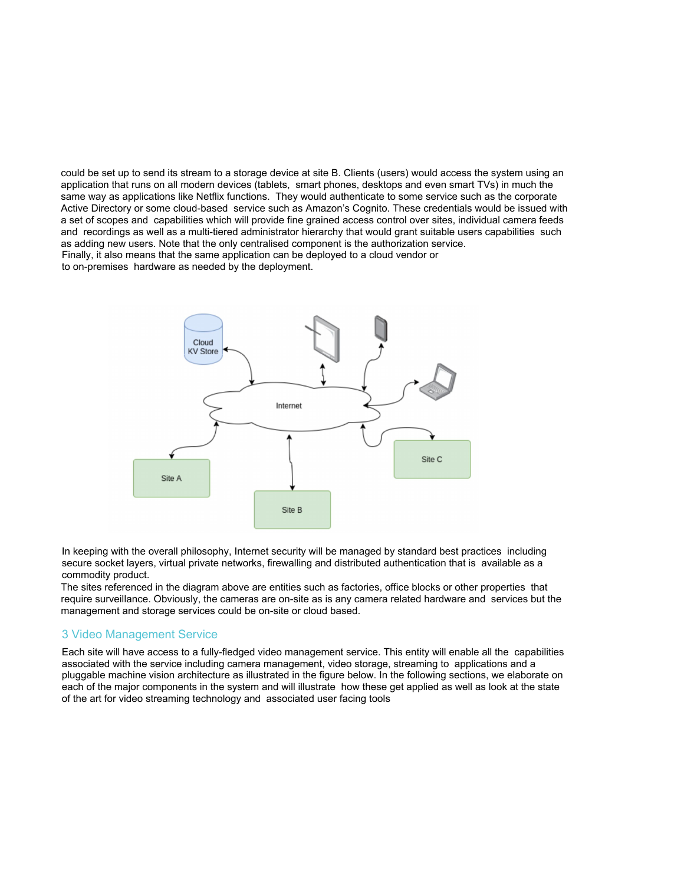could be set up to send its stream to a storage device at site B. Clients (users) would access the system using an application that runs on all modern devices (tablets, smart phones, desktops and even smart TVs) in much the same way as applications like Netflix functions. They would authenticate to some service such as the corporate Active Directory or some cloud-based service such as Amazon's Cognito. These credentials would be issued with a set of scopes and capabilities which will provide fine grained access control over sites, individual camera feeds and recordings as well as a multi-tiered administrator hierarchy that would grant suitable users capabilities such as adding new users. Note that the only centralised component is the authorization service. Finally, it also means that the same application can be deployed to a cloud vendor or to on-premises hardware as needed by the deployment.



In keeping with the overall philosophy, Internet security will be managed by standard best practices including secure socket layers, virtual private networks, firewalling and distributed authentication that is available as a commodity product.

The sites referenced in the diagram above are entities such as factories, office blocks or other properties that require surveillance. Obviously, the cameras are on-site as is any camera related hardware and services but the management and storage services could be on-site or cloud based.

### 3 Video Management Service

Each site will have access to a fully-fledged video management service. This entity will enable all the capabilities associated with the service including camera management, video storage, streaming to applications and a pluggable machine vision architecture as illustrated in the figure below. In the following sections, we elaborate on each of the major components in the system and will illustrate how these get applied as well as look at the state of the art for video streaming technology and associated user facing tools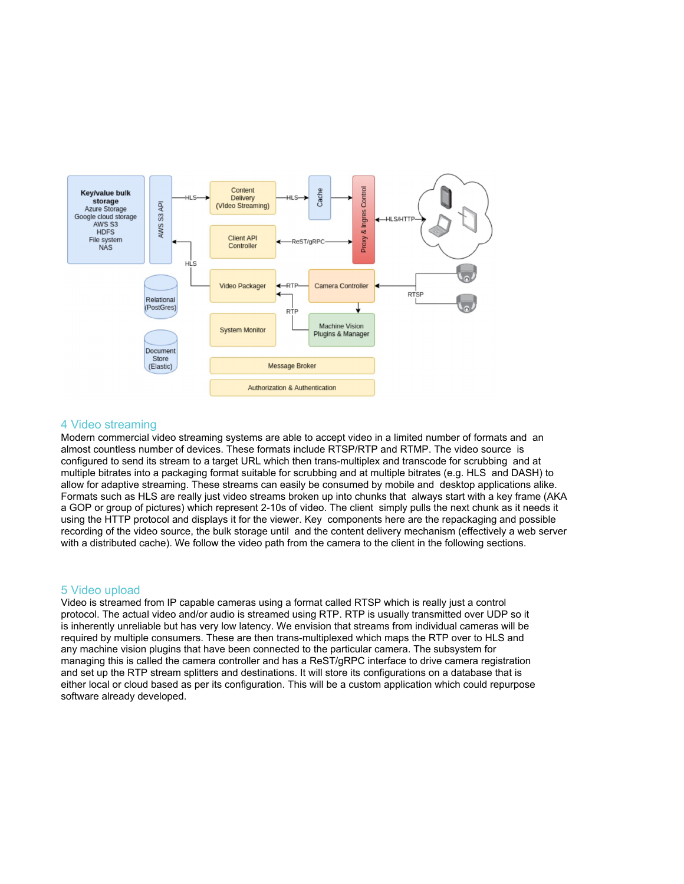

### 4 Video streaming

Modern commercial video streaming systems are able to accept video in a limited number of formats and an almost countless number of devices. These formats include RTSP/RTP and RTMP. The video source is configured to send its stream to a target URL which then trans-multiplex and transcode for scrubbing and at multiple bitrates into a packaging format suitable for scrubbing and at multiple bitrates (e.g. HLS and DASH) to allow for adaptive streaming. These streams can easily be consumed by mobile and desktop applications alike. Formats such as HLS are really just video streams broken up into chunks that always start with a key frame (AKA a GOP or group of pictures) which represent 2-10s of video. The client simply pulls the next chunk as it needs it using the HTTP protocol and displays it for the viewer. Key components here are the repackaging and possible recording of the video source, the bulk storage until and the content delivery mechanism (effectively a web server with a distributed cache). We follow the video path from the camera to the client in the following sections.

#### 5 Video upload

Video is streamed from IP capable cameras using a format called RTSP which is really just a control protocol. The actual video and/or audio is streamed using RTP. RTP is usually transmitted over UDP so it is inherently unreliable but has very low latency. We envision that streams from individual cameras will be required by multiple consumers. These are then trans-multiplexed which maps the RTP over to HLS and any machine vision plugins that have been connected to the particular camera. The subsystem for managing this is called the camera controller and has a ReST/gRPC interface to drive camera registration and set up the RTP stream splitters and destinations. It will store its configurations on a database that is either local or cloud based as per its configuration. This will be a custom application which could repurpose software already developed.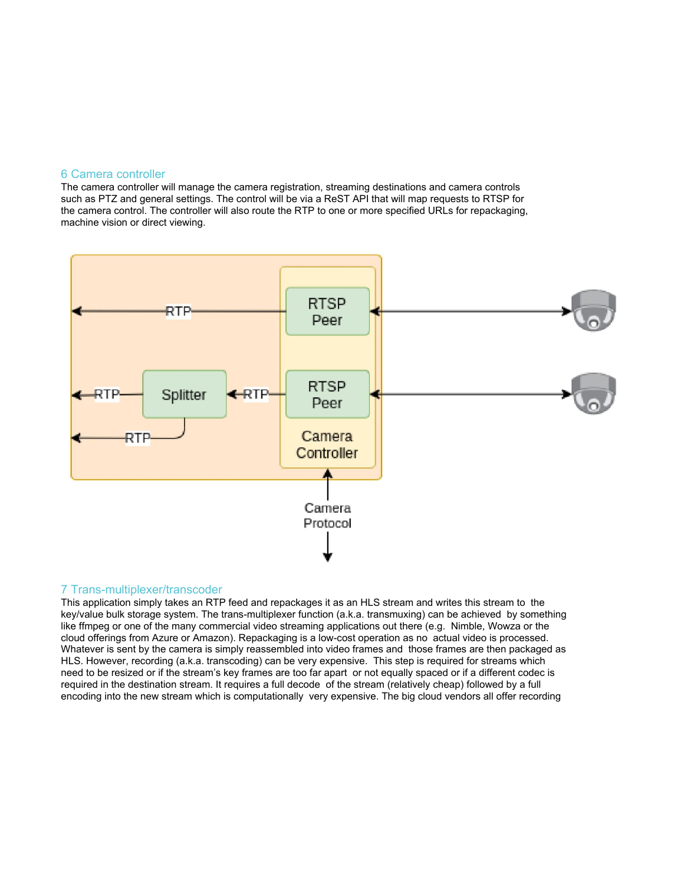#### 6 Camera controller

The camera controller will manage the camera registration, streaming destinations and camera controls such as PTZ and general settings. The control will be via a ReST API that will map requests to RTSP for the camera control. The controller will also route the RTP to one or more specified URLs for repackaging, machine vision or direct viewing.



## 7 Trans-multiplexer/transcoder

This application simply takes an RTP feed and repackages it as an HLS stream and writes this stream to the key/value bulk storage system. The trans-multiplexer function (a.k.a. transmuxing) can be achieved by something like ffmpeg or one of the many commercial video streaming applications out there (e.g. Nimble, Wowza or the cloud offerings from Azure or Amazon). Repackaging is a low-cost operation as no actual video is processed. Whatever is sent by the camera is simply reassembled into video frames and those frames are then packaged as HLS. However, recording (a.k.a. transcoding) can be very expensive. This step is required for streams which need to be resized or if the stream's key frames are too far apart or not equally spaced or if a different codec is required in the destination stream. It requires a full decode of the stream (relatively cheap) followed by a full encoding into the new stream which is computationally very expensive. The big cloud vendors all offer recording